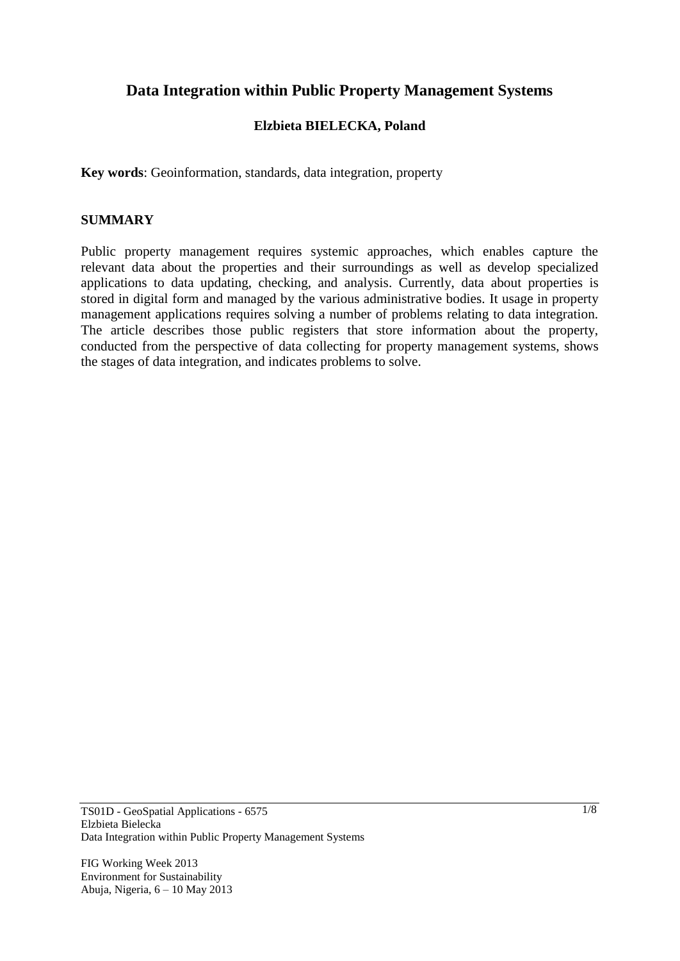# **Data Integration within Public Property Management Systems**

## **Elzbieta BIELECKA, Poland**

**Key words**: Geoinformation, standards, data integration, property

#### **SUMMARY**

Public property management requires systemic approaches, which enables capture the relevant data about the properties and their surroundings as well as develop specialized applications to data updating, checking, and analysis. Currently, data about properties is stored in digital form and managed by the various administrative bodies. It usage in property management applications requires solving a number of problems relating to data integration. The article describes those public registers that store information about the property, conducted from the perspective of data collecting for property management systems, shows the stages of data integration, and indicates problems to solve.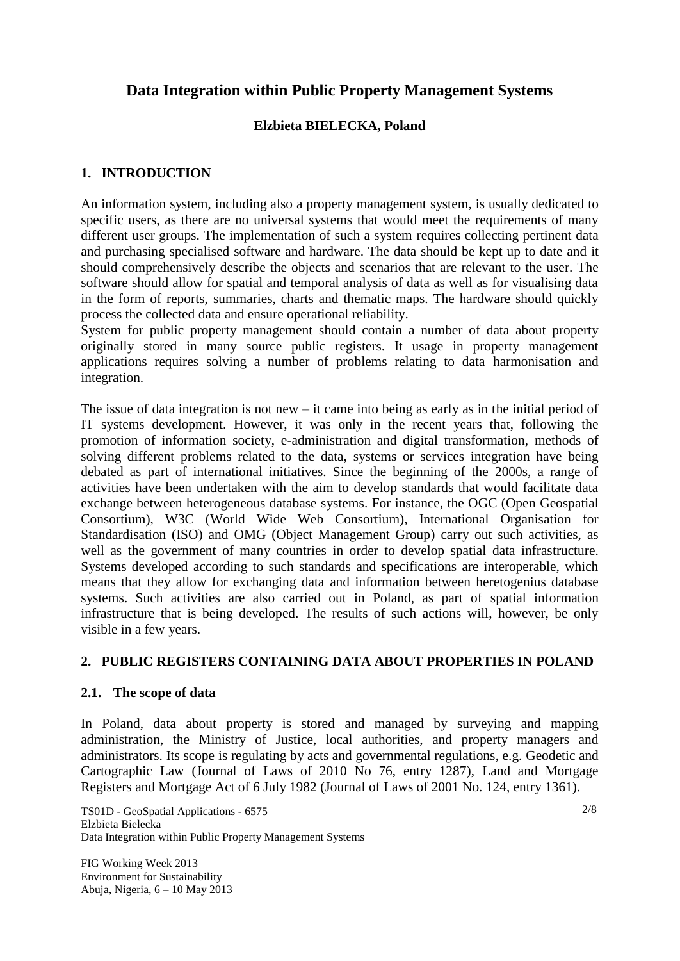# **Data Integration within Public Property Management Systems**

# **Elzbieta BIELECKA, Poland**

## **1. INTRODUCTION**

An information system, including also a property management system, is usually dedicated to specific users, as there are no universal systems that would meet the requirements of many different user groups. The implementation of such a system requires collecting pertinent data and purchasing specialised software and hardware. The data should be kept up to date and it should comprehensively describe the objects and scenarios that are relevant to the user. The software should allow for spatial and temporal analysis of data as well as for visualising data in the form of reports, summaries, charts and thematic maps. The hardware should quickly process the collected data and ensure operational reliability.

System for public property management should contain a number of data about property originally stored in many source public registers. It usage in property management applications requires solving a number of problems relating to data harmonisation and integration.

The issue of data integration is not new – it came into being as early as in the initial period of IT systems development. However, it was only in the recent years that, following the promotion of information society, e-administration and digital transformation, methods of solving different problems related to the data, systems or services integration have being debated as part of international initiatives. Since the beginning of the 2000s, a range of activities have been undertaken with the aim to develop standards that would facilitate data exchange between heterogeneous database systems. For instance, the OGC (Open Geospatial Consortium), W3C (World Wide Web Consortium), International Organisation for Standardisation (ISO) and OMG (Object Management Group) carry out such activities, as well as the government of many countries in order to develop spatial data infrastructure. Systems developed according to such standards and specifications are interoperable, which means that they allow for exchanging data and information between heretogenius database systems. Such activities are also carried out in Poland, as part of spatial information infrastructure that is being developed. The results of such actions will, however, be only visible in a few years.

## **2. PUBLIC REGISTERS CONTAINING DATA ABOUT PROPERTIES IN POLAND**

## **2.1. The scope of data**

In Poland, data about property is stored and managed by surveying and mapping administration, the Ministry of Justice, local authorities, and property managers and administrators. Its scope is regulating by acts and governmental regulations, e.g. Geodetic and Cartographic Law (Journal of Laws of 2010 No 76, entry 1287), Land and Mortgage Registers and Mortgage Act of 6 July 1982 (Journal of Laws of 2001 No. 124, entry 1361).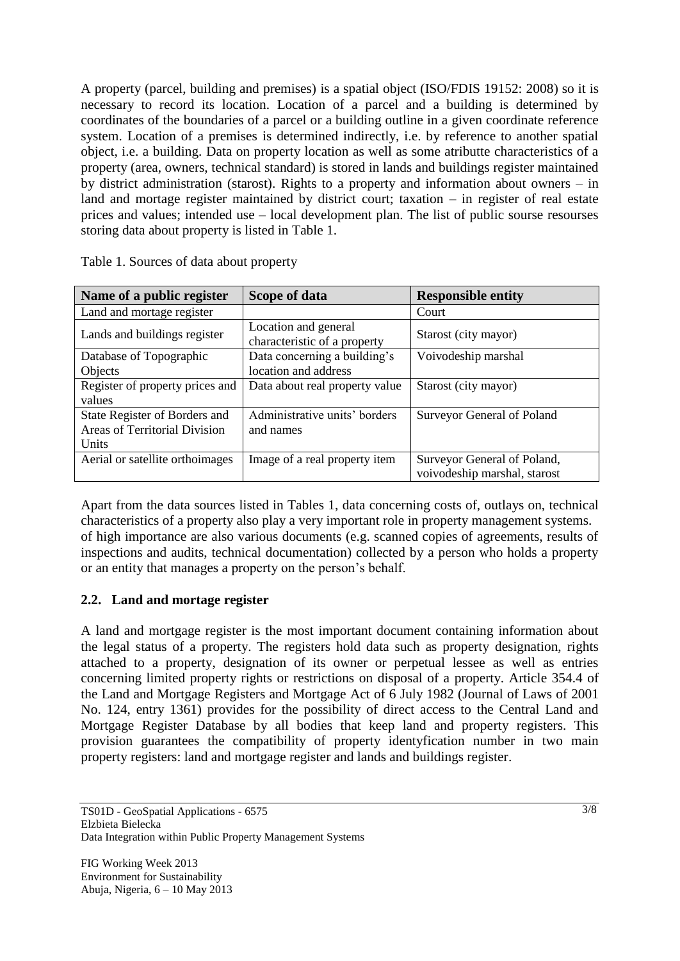A property (parcel, building and premises) is a spatial object (ISO/FDIS 19152: 2008) so it is necessary to record its location. Location of a parcel and a building is determined by coordinates of the boundaries of a parcel or a building outline in a given coordinate reference system. Location of a premises is determined indirectly, i.e. by reference to another spatial object, i.e. a building. Data on property location as well as some atributte characteristics of a property (area, owners, technical standard) is stored in lands and buildings register maintained by district administration (starost). Rights to a property and information about owners – in land and mortage register maintained by district court; taxation – in register of real estate prices and values; intended use – local development plan. The list of public sourse resourses storing data about property is listed in Table 1.

| Name of a public register       | Scope of data                                        | <b>Responsible entity</b>                                   |
|---------------------------------|------------------------------------------------------|-------------------------------------------------------------|
| Land and mortage register       |                                                      | Court                                                       |
| Lands and buildings register    | Location and general<br>characteristic of a property | Starost (city mayor)                                        |
| Database of Topographic         | Data concerning a building's                         | Voivodeship marshal                                         |
| Objects                         | location and address                                 |                                                             |
| Register of property prices and | Data about real property value                       | Starost (city mayor)                                        |
| values                          |                                                      |                                                             |
| State Register of Borders and   | Administrative units' borders                        | Surveyor General of Poland                                  |
| Areas of Territorial Division   | and names                                            |                                                             |
| Units                           |                                                      |                                                             |
| Aerial or satellite orthoimages | Image of a real property item                        | Surveyor General of Poland,<br>voivodeship marshal, starost |

Table 1. Sources of data about property

Apart from the data sources listed in Tables 1, data concerning costs of, outlays on, technical characteristics of a property also play a very important role in property management systems. of high importance are also various documents (e.g. scanned copies of agreements, results of inspections and audits, technical documentation) collected by a person who holds a property or an entity that manages a property on the person's behalf.

# **2.2. Land and mortage register**

A land and mortgage register is the most important document containing information about the legal status of a property. The registers hold data such as property designation, rights attached to a property, designation of its owner or perpetual lessee as well as entries concerning limited property rights or restrictions on disposal of a property. Article 354.4 of the Land and Mortgage Registers and Mortgage Act of 6 July 1982 (Journal of Laws of 2001 No. 124, entry 1361) provides for the possibility of direct access to the Central Land and Mortgage Register Database by all bodies that keep land and property registers. This provision guarantees the compatibility of property identyfication number in two main property registers: land and mortgage register and lands and buildings register.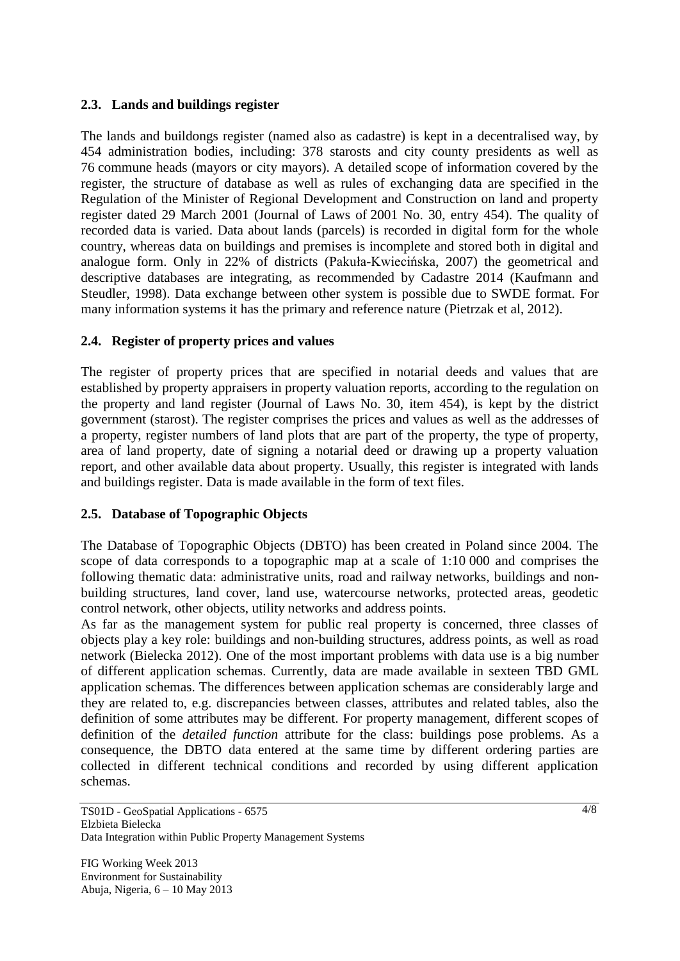## **2.3. Lands and buildings register**

The lands and buildongs register (named also as cadastre) is kept in a decentralised way, by 454 administration bodies, including: 378 starosts and city county presidents as well as 76 commune heads (mayors or city mayors). A detailed scope of information covered by the register, the structure of database as well as rules of exchanging data are specified in the Regulation of the Minister of Regional Development and Construction on land and property register dated 29 March 2001 (Journal of Laws of 2001 No. 30, entry 454). The quality of recorded data is varied. Data about lands (parcels) is recorded in digital form for the whole country, whereas data on buildings and premises is incomplete and stored both in digital and analogue form. Only in 22% of districts (Pakuła-Kwiecińska, 2007) the geometrical and descriptive databases are integrating, as recommended by Cadastre 2014 (Kaufmann and Steudler, 1998). Data exchange between other system is possible due to SWDE format. For many information systems it has the primary and reference nature (Pietrzak et al, 2012).

#### **2.4. Register of property prices and values**

The register of property prices that are specified in notarial deeds and values that are established by property appraisers in property valuation reports, according to the regulation on the property and land register (Journal of Laws No. 30, item 454), is kept by the district government (starost). The register comprises the prices and values as well as the addresses of a property, register numbers of land plots that are part of the property, the type of property, area of land property, date of signing a notarial deed or drawing up a property valuation report, and other available data about property. Usually, this register is integrated with lands and buildings register. Data is made available in the form of text files.

## **2.5. Database of Topographic Objects**

The Database of Topographic Objects (DBTO) has been created in Poland since 2004. The scope of data corresponds to a topographic map at a scale of 1:10 000 and comprises the following thematic data: administrative units, road and railway networks, buildings and nonbuilding structures, land cover, land use, watercourse networks, protected areas, geodetic control network, other objects, utility networks and address points.

As far as the management system for public real property is concerned, three classes of objects play a key role: buildings and non-building structures, address points, as well as road network (Bielecka 2012). One of the most important problems with data use is a big number of different application schemas. Currently, data are made available in sexteen TBD GML application schemas. The differences between application schemas are considerably large and they are related to, e.g. discrepancies between classes, attributes and related tables, also the definition of some attributes may be different. For property management, different scopes of definition of the *detailed function* attribute for the class: buildings pose problems. As a consequence, the DBTO data entered at the same time by different ordering parties are collected in different technical conditions and recorded by using different application schemas.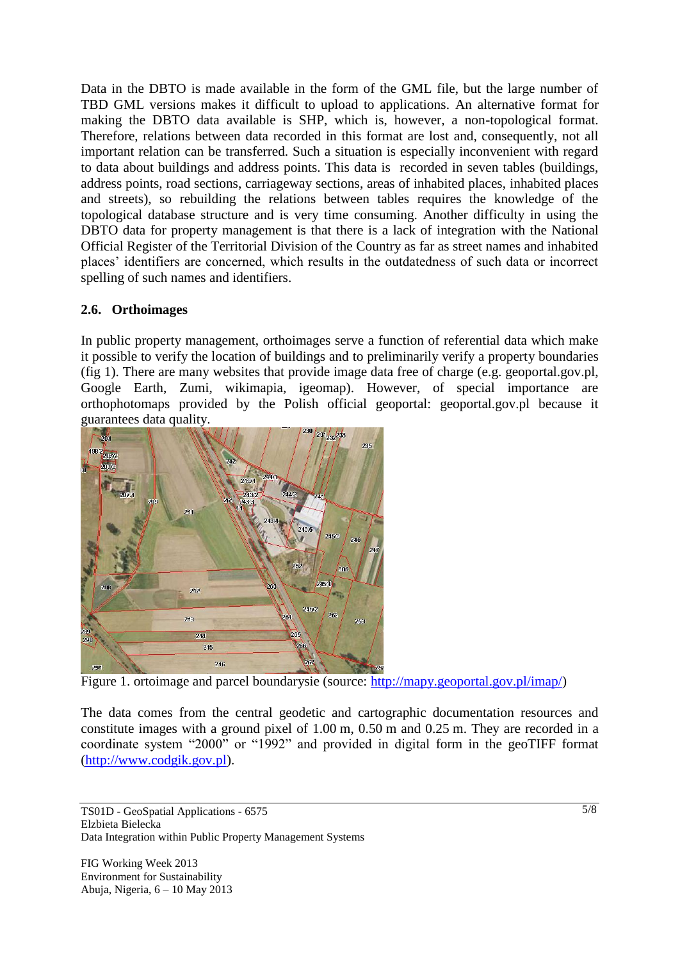Data in the DBTO is made available in the form of the GML file, but the large number of TBD GML versions makes it difficult to upload to applications. An alternative format for making the DBTO data available is SHP, which is, however, a non-topological format. Therefore, relations between data recorded in this format are lost and, consequently, not all important relation can be transferred. Such a situation is especially inconvenient with regard to data about buildings and address points. This data is recorded in seven tables (buildings, address points, road sections, carriageway sections, areas of inhabited places, inhabited places and streets), so rebuilding the relations between tables requires the knowledge of the topological database structure and is very time consuming. Another difficulty in using the DBTO data for property management is that there is a lack of integration with the National Official Register of the Territorial Division of the Country as far as street names and inhabited places' identifiers are concerned, which results in the outdatedness of such data or incorrect spelling of such names and identifiers.

## **2.6. Orthoimages**

In public property management, orthoimages serve a function of referential data which make it possible to verify the location of buildings and to preliminarily verify a property boundaries (fig 1). There are many websites that provide image data free of charge (e.g. geoportal.gov.pl, Google Earth, Zumi, wikimapia, igeomap). However, of special importance are orthophotomaps provided by the Polish official geoportal: geoportal.gov.pl because it guarantees data quality.



Figure 1. ortoimage and parcel boundarysie (source: [http://mapy.geoportal.gov.pl/imap/\)](http://mapy.geoportal.gov.pl/imap/)

The data comes from the central geodetic and cartographic documentation resources and constitute images with a ground pixel of 1.00 m, 0.50 m and 0.25 m. They are recorded in a coordinate system "2000" or "1992" and provided in digital form in the geoTIFF format [\(http://www.codgik.gov.pl\)](http://www.codgik.gov.pl/).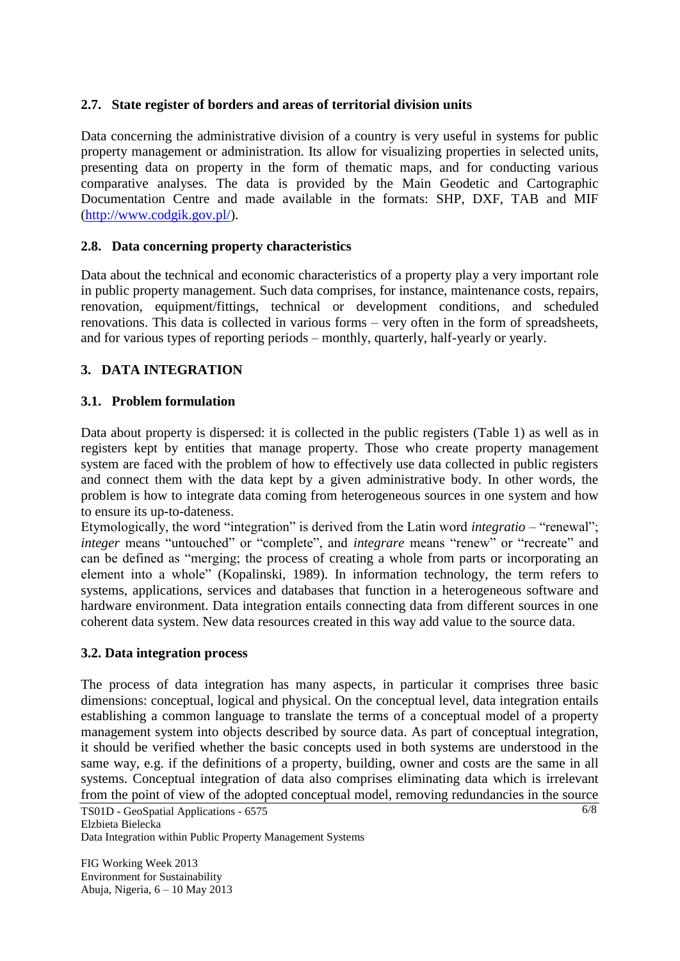## **2.7. State register of borders and areas of territorial division units**

Data concerning the administrative division of a country is very useful in systems for public property management or administration. Its allow for visualizing properties in selected units, presenting data on property in the form of thematic maps, and for conducting various comparative analyses. The data is provided by the Main Geodetic and Cartographic Documentation Centre and made available in the formats: SHP, DXF, TAB and MIF [\(http://www.codgik.gov.pl/\)](http://www.codgik.gov.pl/).

## **2.8. Data concerning property characteristics**

Data about the technical and economic characteristics of a property play a very important role in public property management. Such data comprises, for instance, maintenance costs, repairs, renovation, equipment/fittings, technical or development conditions, and scheduled renovations. This data is collected in various forms – very often in the form of spreadsheets, and for various types of reporting periods – monthly, quarterly, half-yearly or yearly.

## **3. DATA INTEGRATION**

#### **3.1. Problem formulation**

Data about property is dispersed: it is collected in the public registers (Table 1) as well as in registers kept by entities that manage property. Those who create property management system are faced with the problem of how to effectively use data collected in public registers and connect them with the data kept by a given administrative body. In other words, the problem is how to integrate data coming from heterogeneous sources in one system and how to ensure its up-to-dateness.

Etymologically, the word "integration" is derived from the Latin word *integratio –* "renewal"; *integer* means "untouched" or "complete", and *integrare* means "renew" or "recreate" and can be defined as "merging; the process of creating a whole from parts or incorporating an element into a whole" (Kopalinski, 1989). In information technology, the term refers to systems, applications, services and databases that function in a heterogeneous software and hardware environment. Data integration entails connecting data from different sources in one coherent data system. New data resources created in this way add value to the source data.

## **3.2. Data integration process**

The process of data integration has many aspects, in particular it comprises three basic dimensions: conceptual, logical and physical. On the conceptual level, data integration entails establishing a common language to translate the terms of a conceptual model of a property management system into objects described by source data. As part of conceptual integration, it should be verified whether the basic concepts used in both systems are understood in the same way, e.g. if the definitions of a property, building, owner and costs are the same in all systems. Conceptual integration of data also comprises eliminating data which is irrelevant from the point of view of the adopted conceptual model, removing redundancies in the source

TS01D - GeoSpatial Applications - 6575 Elzbieta Bielecka Data Integration within Public Property Management Systems

FIG Working Week 2013 Environment for Sustainability Abuja, Nigeria, 6 – 10 May 2013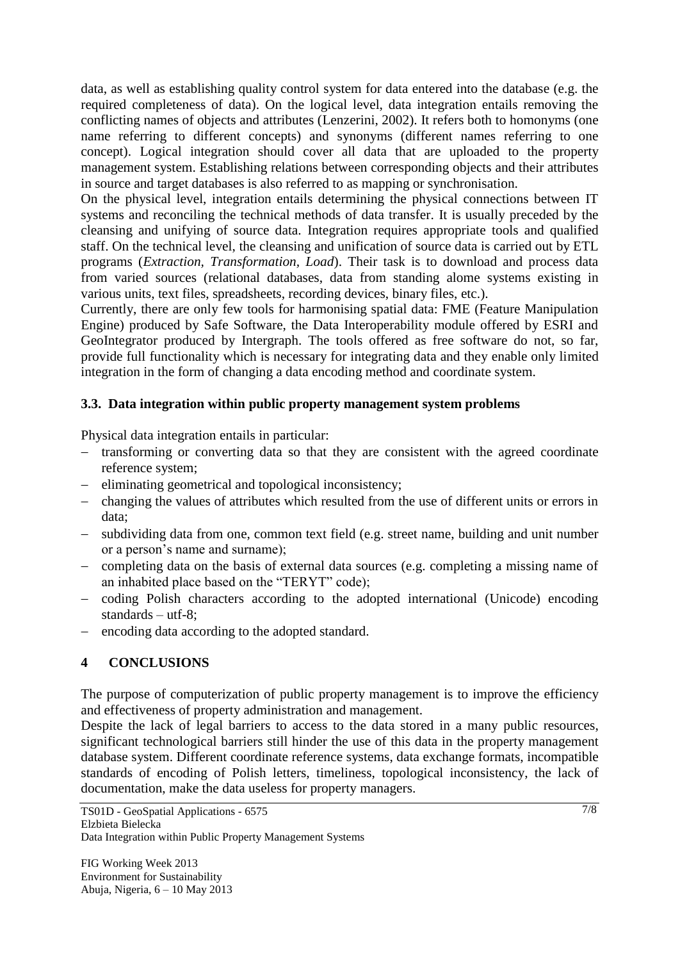data, as well as establishing quality control system for data entered into the database (e.g. the required completeness of data). On the logical level, data integration entails removing the conflicting names of objects and attributes (Lenzerini, 2002). It refers both to homonyms (one name referring to different concepts) and synonyms (different names referring to one concept). Logical integration should cover all data that are uploaded to the property management system. Establishing relations between corresponding objects and their attributes in source and target databases is also referred to as mapping or synchronisation.

On the physical level, integration entails determining the physical connections between IT systems and reconciling the technical methods of data transfer. It is usually preceded by the cleansing and unifying of source data. Integration requires appropriate tools and qualified staff. On the technical level, the cleansing and unification of source data is carried out by ETL programs (*Extraction, Transformation, Load*). Their task is to download and process data from varied sources (relational databases, data from standing alome systems existing in various units, text files, spreadsheets, recording devices, binary files, etc.).

Currently, there are only few tools for harmonising spatial data: FME (Feature Manipulation Engine) produced by Safe Software, the Data Interoperability module offered by ESRI and GeoIntegrator produced by Intergraph. The tools offered as free software do not, so far, provide full functionality which is necessary for integrating data and they enable only limited integration in the form of changing a data encoding method and coordinate system.

## **3.3. Data integration within public property management system problems**

Physical data integration entails in particular:

- transforming or converting data so that they are consistent with the agreed coordinate reference system;
- eliminating geometrical and topological inconsistency;
- changing the values of attributes which resulted from the use of different units or errors in data;
- subdividing data from one, common text field (e.g. street name, building and unit number or a person's name and surname);
- completing data on the basis of external data sources (e.g. completing a missing name of an inhabited place based on the "TERYT" code);
- coding Polish characters according to the adopted international (Unicode) encoding standards – utf-8;
- encoding data according to the adopted standard.

## **4 CONCLUSIONS**

The purpose of computerization of public property management is to improve the efficiency and effectiveness of property administration and management.

Despite the lack of legal barriers to access to the data stored in a many public resources, significant technological barriers still hinder the use of this data in the property management database system. Different coordinate reference systems, data exchange formats, incompatible standards of encoding of Polish letters, timeliness, topological inconsistency, the lack of documentation, make the data useless for property managers.